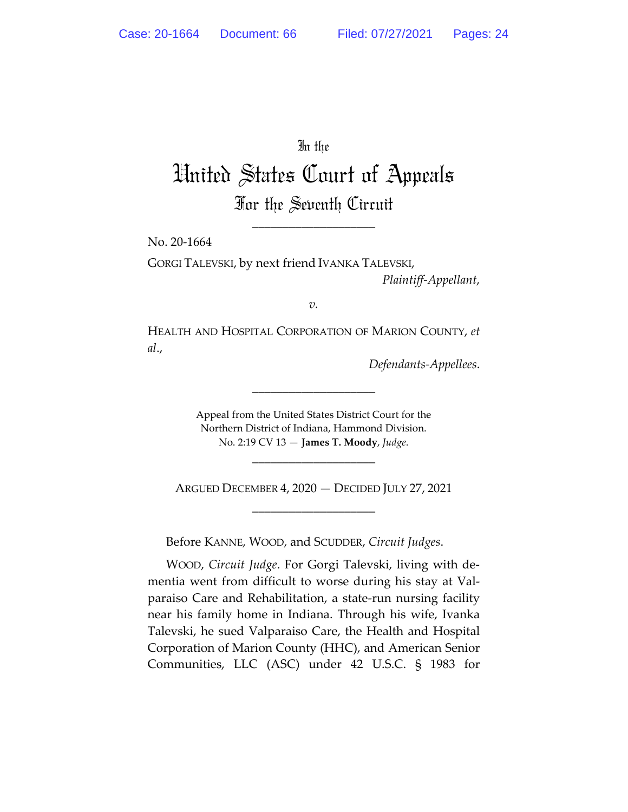In the

# United States Court of Appeals For the Seventh Circuit

\_\_\_\_\_\_\_\_\_\_\_\_\_\_\_\_\_\_\_\_

No. 20-1664

GORGI TALEVSKI, by next friend IVANKA TALEVSKI, *Plaintiff-Appellant*,

*v.*

HEALTH AND HOSPITAL CORPORATION OF MARION COUNTY, *et al*.,

*Defendants-Appellees*.

Appeal from the United States District Court for the Northern District of Indiana, Hammond Division. No. 2:19 CV 13 — **James T. Moody**, *Judge*.

\_\_\_\_\_\_\_\_\_\_\_\_\_\_\_\_\_\_\_\_

\_\_\_\_\_\_\_\_\_\_\_\_\_\_\_\_\_\_\_\_

ARGUED DECEMBER 4, 2020 — DECIDED JULY 27, 2021 \_\_\_\_\_\_\_\_\_\_\_\_\_\_\_\_\_\_\_\_

Before KANNE, WOOD, and SCUDDER, *Circuit Judges*.

WOOD, *Circuit Judge*. For Gorgi Talevski, living with dementia went from difficult to worse during his stay at Valparaiso Care and Rehabilitation, a state-run nursing facility near his family home in Indiana. Through his wife, Ivanka Talevski, he sued Valparaiso Care, the Health and Hospital Corporation of Marion County (HHC), and American Senior Communities, LLC (ASC) under 42 U.S.C. § 1983 for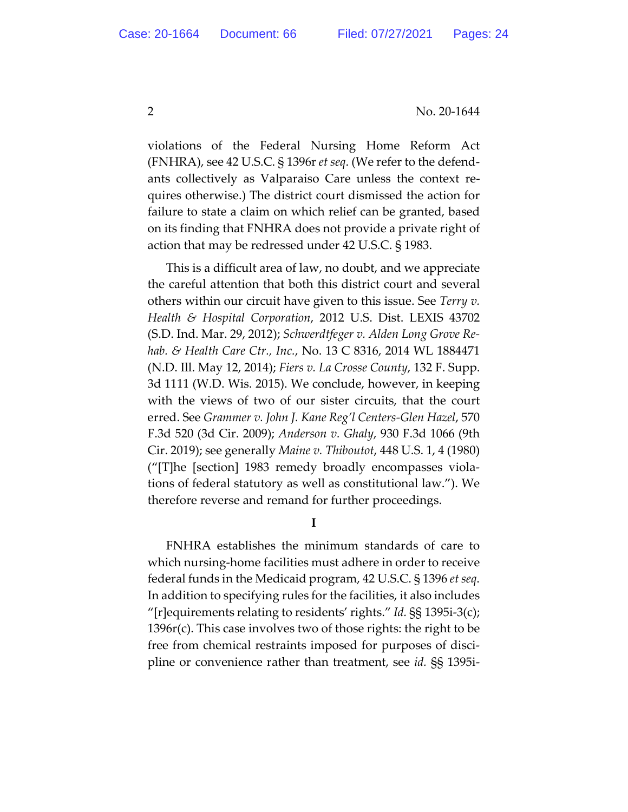violations of the Federal Nursing Home Reform Act (FNHRA), see 42 U.S.C. § 1396r *et seq*. (We refer to the defendants collectively as Valparaiso Care unless the context requires otherwise.) The district court dismissed the action for failure to state a claim on which relief can be granted, based on its finding that FNHRA does not provide a private right of action that may be redressed under 42 U.S.C. § 1983.

This is a difficult area of law, no doubt, and we appreciate the careful attention that both this district court and several others within our circuit have given to this issue. See *Terry v. Health & Hospital Corporation*, 2012 U.S. Dist. LEXIS 43702 (S.D. Ind. Mar. 29, 2012); *Schwerdtfeger v. Alden Long Grove Rehab. & Health Care Ctr., Inc.*, No. 13 C 8316, 2014 WL 1884471 (N.D. Ill. May 12, 2014); *Fiers v. La Crosse County*, 132 F. Supp. 3d 1111 (W.D. Wis. 2015). We conclude, however, in keeping with the views of two of our sister circuits, that the court erred. See *Grammer v. John J. Kane Reg'l Centers-Glen Hazel*, 570 F.3d 520 (3d Cir. 2009); *Anderson v. Ghaly*, 930 F.3d 1066 (9th Cir. 2019); see generally *Maine v. Thiboutot*, 448 U.S. 1, 4 (1980) ("[T]he [section] 1983 remedy broadly encompasses violations of federal statutory as well as constitutional law."). We therefore reverse and remand for further proceedings.

**I**

FNHRA establishes the minimum standards of care to which nursing-home facilities must adhere in order to receive federal funds in the Medicaid program, 42 U.S.C. § 1396 *et seq*. In addition to specifying rules for the facilities, it also includes "[r]equirements relating to residents' rights." *Id.* §§ 1395i-3(c); 1396r(c). This case involves two of those rights: the right to be free from chemical restraints imposed for purposes of discipline or convenience rather than treatment, see *id.* §§ 1395i-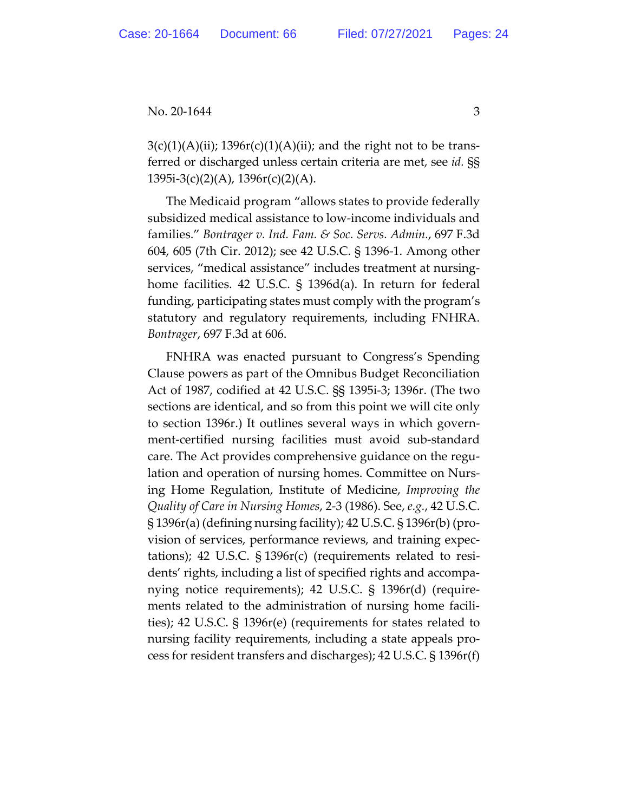$3(c)(1)(A)(ii)$ ; 1396 $r(c)(1)(A)(ii)$ ; and the right not to be transferred or discharged unless certain criteria are met, see *id.* §§ 1395i-3(c)(2)(A), 1396r(c)(2)(A).

The Medicaid program "allows states to provide federally subsidized medical assistance to low-income individuals and families." *Bontrager v. Ind. Fam. & Soc. Servs. Admin.*, 697 F.3d 604, 605 (7th Cir. 2012); see 42 U.S.C. § 1396-1. Among other services, "medical assistance" includes treatment at nursinghome facilities. 42 U.S.C. § 1396d(a). In return for federal funding, participating states must comply with the program's statutory and regulatory requirements, including FNHRA. *Bontrager*, 697 F.3d at 606.

FNHRA was enacted pursuant to Congress's Spending Clause powers as part of the Omnibus Budget Reconciliation Act of 1987, codified at 42 U.S.C. §§ 1395i-3; 1396r. (The two sections are identical, and so from this point we will cite only to section 1396r.) It outlines several ways in which government-certified nursing facilities must avoid sub-standard care. The Act provides comprehensive guidance on the regulation and operation of nursing homes. Committee on Nursing Home Regulation, Institute of Medicine, *Improving the Quality of Care in Nursing Homes*, 2-3 (1986). See, *e.g.*, 42 U.S.C. § 1396r(a) (defining nursing facility); 42 U.S.C. § 1396r(b) (provision of services, performance reviews, and training expectations); 42 U.S.C. § 1396r(c) (requirements related to residents' rights, including a list of specified rights and accompanying notice requirements); 42 U.S.C. § 1396r(d) (requirements related to the administration of nursing home facilities); 42 U.S.C. § 1396r(e) (requirements for states related to nursing facility requirements, including a state appeals process for resident transfers and discharges); 42 U.S.C. § 1396r(f)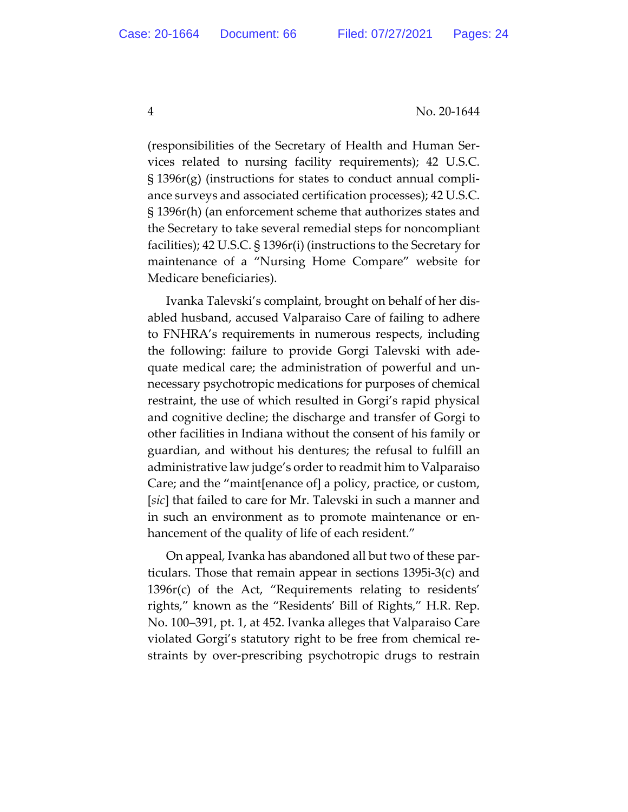(responsibilities of the Secretary of Health and Human Services related to nursing facility requirements); 42 U.S.C. § 1396r(g) (instructions for states to conduct annual compliance surveys and associated certification processes); 42 U.S.C. § 1396r(h) (an enforcement scheme that authorizes states and the Secretary to take several remedial steps for noncompliant facilities); 42 U.S.C. § 1396r(i) (instructions to the Secretary for maintenance of a "Nursing Home Compare" website for Medicare beneficiaries).

Ivanka Talevski's complaint, brought on behalf of her disabled husband, accused Valparaiso Care of failing to adhere to FNHRA's requirements in numerous respects, including the following: failure to provide Gorgi Talevski with adequate medical care; the administration of powerful and unnecessary psychotropic medications for purposes of chemical restraint, the use of which resulted in Gorgi's rapid physical and cognitive decline; the discharge and transfer of Gorgi to other facilities in Indiana without the consent of his family or guardian, and without his dentures; the refusal to fulfill an administrative law judge's order to readmit him to Valparaiso Care; and the "maint[enance of] a policy, practice, or custom, [*sic*] that failed to care for Mr. Talevski in such a manner and in such an environment as to promote maintenance or enhancement of the quality of life of each resident."

On appeal, Ivanka has abandoned all but two of these particulars. Those that remain appear in sections 1395i-3(c) and 1396r(c) of the Act, "Requirements relating to residents' rights," known as the "Residents' Bill of Rights," H.R. Rep. No. 100–391, pt. 1, at 452. Ivanka alleges that Valparaiso Care violated Gorgi's statutory right to be free from chemical restraints by over-prescribing psychotropic drugs to restrain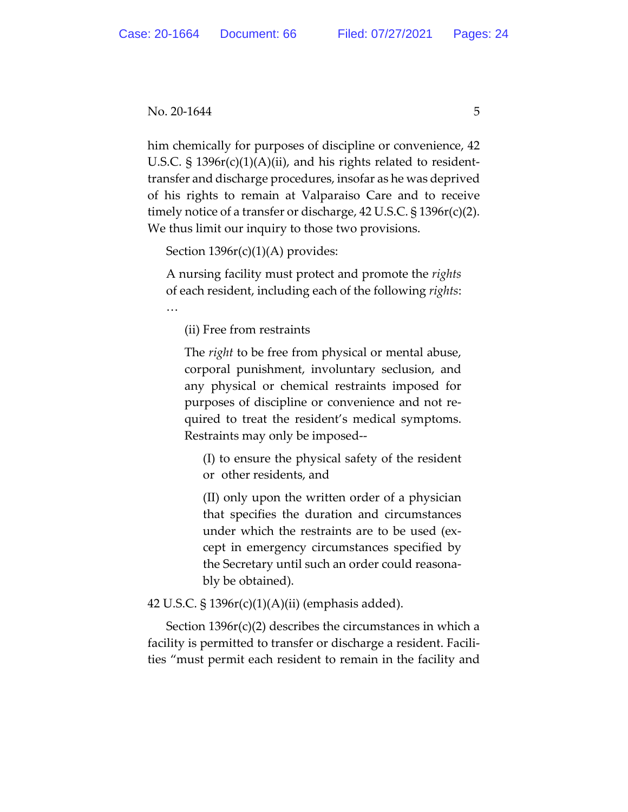### $\text{No. } 20\text{-}1644$  5

him chemically for purposes of discipline or convenience, 42 U.S.C.  $\S$  1396 $r(c)(1)(A)(ii)$ , and his rights related to residenttransfer and discharge procedures, insofar as he was deprived of his rights to remain at Valparaiso Care and to receive timely notice of a transfer or discharge, 42 U.S.C. § 1396r(c)(2). We thus limit our inquiry to those two provisions.

Section  $1396r(c)(1)(A)$  provides:

A nursing facility must protect and promote the *rights* of each resident, including each of the following *rights*: …

(ii) Free from restraints

The *right* to be free from physical or mental abuse, corporal punishment, involuntary seclusion, and any physical or chemical restraints imposed for purposes of discipline or convenience and not required to treat the resident's medical symptoms. Restraints may only be imposed--

(I) to ensure the physical safety of the resident or other residents, and

(II) only upon the written order of a physician that specifies the duration and circumstances under which the restraints are to be used (except in emergency circumstances specified by the Secretary until such an order could reasonably be obtained).

42 U.S.C. § 1396r(c)(1)(A)(ii) (emphasis added).

Section 1396r(c)(2) describes the circumstances in which a facility is permitted to transfer or discharge a resident. Facilities "must permit each resident to remain in the facility and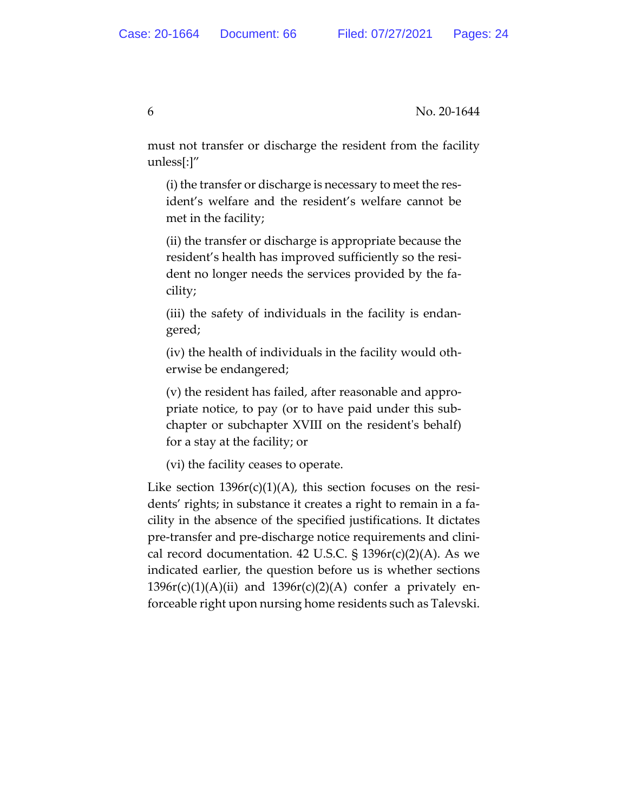must not transfer or discharge the resident from the facility unless[:]"

(i) the transfer or discharge is necessary to meet the resident's welfare and the resident's welfare cannot be met in the facility;

(ii) the transfer or discharge is appropriate because the resident's health has improved sufficiently so the resident no longer needs the services provided by the facility;

(iii) the safety of individuals in the facility is endangered;

(iv) the health of individuals in the facility would otherwise be endangered;

(v) the resident has failed, after reasonable and appropriate notice, to pay (or to have paid under this subchapter or subchapter XVIII on the resident's behalf) for a stay at the facility; or

(vi) the facility ceases to operate.

Like section  $1396r(c)(1)(A)$ , this section focuses on the residents' rights; in substance it creates a right to remain in a facility in the absence of the specified justifications. It dictates pre-transfer and pre-discharge notice requirements and clinical record documentation. 42 U.S.C.  $\S$  1396 $r(c)(2)(A)$ . As we indicated earlier, the question before us is whether sections  $1396r(c)(1)(A)(ii)$  and  $1396r(c)(2)(A)$  confer a privately enforceable right upon nursing home residents such as Talevski.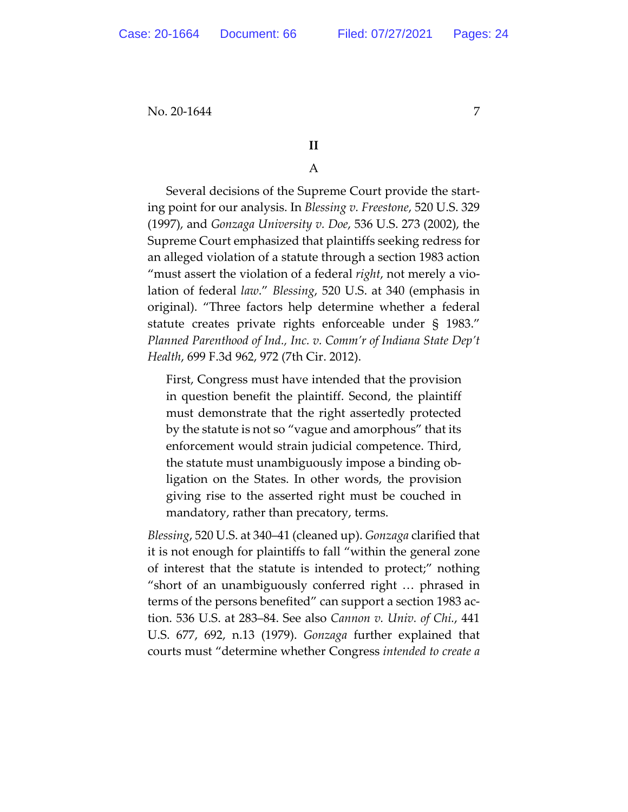# **II**

# A

Several decisions of the Supreme Court provide the starting point for our analysis. In *Blessing v. Freestone*, 520 U.S. 329 (1997), and *Gonzaga University v. Doe*, 536 U.S. 273 (2002), the Supreme Court emphasized that plaintiffs seeking redress for an alleged violation of a statute through a section 1983 action "must assert the violation of a federal *right*, not merely a violation of federal *law*." *Blessing*, 520 U.S. at 340 (emphasis in original). "Three factors help determine whether a federal statute creates private rights enforceable under § 1983." *Planned Parenthood of Ind., Inc. v. Comm'r of Indiana State Dep't Health*, 699 F.3d 962, 972 (7th Cir. 2012).

First, Congress must have intended that the provision in question benefit the plaintiff. Second, the plaintiff must demonstrate that the right assertedly protected by the statute is not so "vague and amorphous" that its enforcement would strain judicial competence. Third, the statute must unambiguously impose a binding obligation on the States. In other words, the provision giving rise to the asserted right must be couched in mandatory, rather than precatory, terms.

*Blessing*, 520 U.S. at 340–41 (cleaned up). *Gonzaga* clarified that it is not enough for plaintiffs to fall "within the general zone of interest that the statute is intended to protect;" nothing "short of an unambiguously conferred right … phrased in terms of the persons benefited" can support a section 1983 action. 536 U.S. at 283–84. See also *Cannon v. Univ. of Chi.*, 441 U.S. 677, 692, n.13 (1979). *Gonzaga* further explained that courts must "determine whether Congress *intended to create a*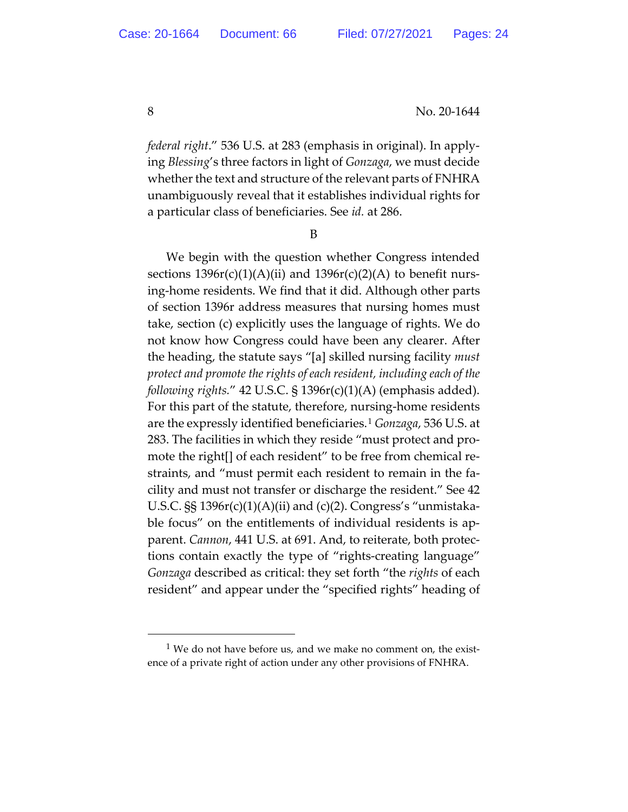*federal right*." 536 U.S. at 283 (emphasis in original). In applying *Blessing*'s three factors in light of *Gonzaga*, we must decide whether the text and structure of the relevant parts of FNHRA unambiguously reveal that it establishes individual rights for a particular class of beneficiaries. See *id.* at 286.

B

We begin with the question whether Congress intended sections  $1396r(c)(1)(A)(ii)$  and  $1396r(c)(2)(A)$  to benefit nursing-home residents. We find that it did. Although other parts of section 1396r address measures that nursing homes must take, section (c) explicitly uses the language of rights. We do not know how Congress could have been any clearer. After the heading, the statute says "[a] skilled nursing facility *must protect and promote the rights of each resident, including each of the following rights.*" 42 U.S.C. § 1396r(c)(1)(A) (emphasis added). For this part of the statute, therefore, nursing-home residents are the expressly identified beneficiaries.1 *Gonzaga*, 536 U.S. at 283. The facilities in which they reside "must protect and promote the right[] of each resident" to be free from chemical restraints, and "must permit each resident to remain in the facility and must not transfer or discharge the resident." See 42 U.S.C. §§ 1396r(c)(1)(A)(ii) and (c)(2). Congress's "unmistakable focus" on the entitlements of individual residents is apparent. *Cannon*, 441 U.S. at 691. And, to reiterate, both protections contain exactly the type of "rights-creating language" *Gonzaga* described as critical: they set forth "the *rights* of each resident" and appear under the "specified rights" heading of

 $1$  We do not have before us, and we make no comment on, the existence of a private right of action under any other provisions of FNHRA.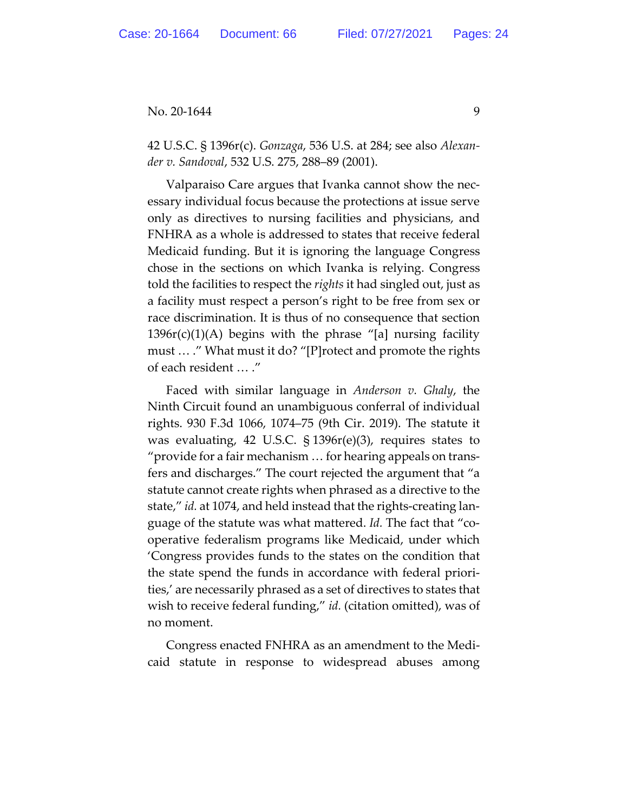42 U.S.C. § 1396r(c). *Gonzaga*, 536 U.S. at 284; see also *Alexander v. Sandoval*, 532 U.S. 275, 288–89 (2001).

Valparaiso Care argues that Ivanka cannot show the necessary individual focus because the protections at issue serve only as directives to nursing facilities and physicians, and FNHRA as a whole is addressed to states that receive federal Medicaid funding. But it is ignoring the language Congress chose in the sections on which Ivanka is relying. Congress told the facilities to respect the *rights* it had singled out, just as a facility must respect a person's right to be free from sex or race discrimination. It is thus of no consequence that section  $1396r(c)(1)(A)$  begins with the phrase "[a] nursing facility must … ." What must it do? "[P]rotect and promote the rights of each resident … ."

Faced with similar language in *Anderson v. Ghaly*, the Ninth Circuit found an unambiguous conferral of individual rights. 930 F.3d 1066, 1074–75 (9th Cir. 2019). The statute it was evaluating, 42 U.S.C. § 1396r(e)(3), requires states to "provide for a fair mechanism … for hearing appeals on transfers and discharges." The court rejected the argument that "a statute cannot create rights when phrased as a directive to the state," *id.* at 1074, and held instead that the rights-creating language of the statute was what mattered. *Id.* The fact that "cooperative federalism programs like Medicaid, under which 'Congress provides funds to the states on the condition that the state spend the funds in accordance with federal priorities,' are necessarily phrased as a set of directives to states that wish to receive federal funding," *id.* (citation omitted), was of no moment.

Congress enacted FNHRA as an amendment to the Medicaid statute in response to widespread abuses among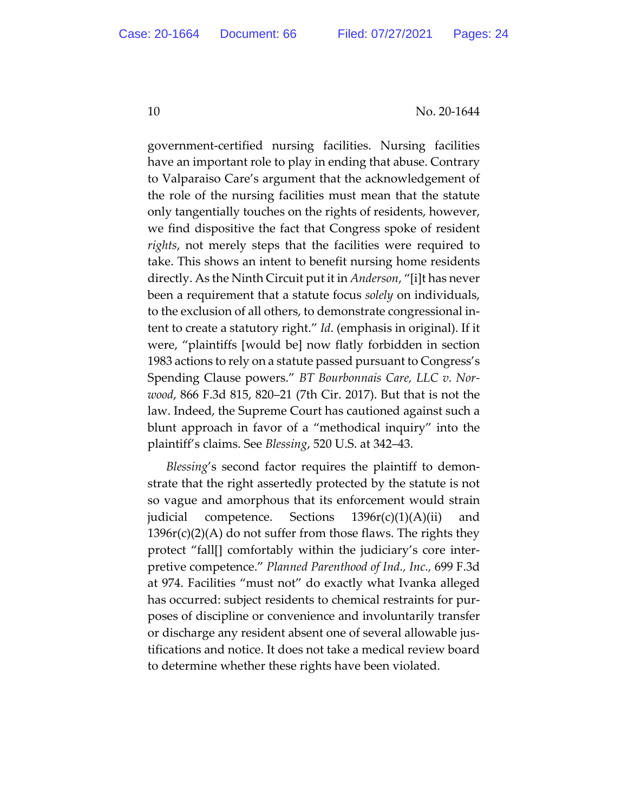government-certified nursing facilities. Nursing facilities have an important role to play in ending that abuse. Contrary to Valparaiso Care's argument that the acknowledgement of the role of the nursing facilities must mean that the statute only tangentially touches on the rights of residents, however, we find dispositive the fact that Congress spoke of resident *rights*, not merely steps that the facilities were required to take. This shows an intent to benefit nursing home residents directly. As the Ninth Circuit put it in *Anderson*, "[i]t has never been a requirement that a statute focus *solely* on individuals, to the exclusion of all others, to demonstrate congressional intent to create a statutory right." *Id*. (emphasis in original). If it were, "plaintiffs [would be] now flatly forbidden in section 1983 actions to rely on a statute passed pursuant to Congress's Spending Clause powers." *BT Bourbonnais Care, LLC v. Norwood*, 866 F.3d 815, 820–21 (7th Cir. 2017). But that is not the law. Indeed, the Supreme Court has cautioned against such a blunt approach in favor of a "methodical inquiry" into the plaintiff's claims. See *Blessing*, 520 U.S. at 342–43.

*Blessing*'s second factor requires the plaintiff to demonstrate that the right assertedly protected by the statute is not so vague and amorphous that its enforcement would strain judicial competence. Sections  $1396r(c)(1)(A)(ii)$  and  $1396r(c)(2)(A)$  do not suffer from those flaws. The rights they protect "fall[] comfortably within the judiciary's core interpretive competence." *Planned Parenthood of Ind., Inc.,* 699 F.3d at 974. Facilities "must not" do exactly what Ivanka alleged has occurred: subject residents to chemical restraints for purposes of discipline or convenience and involuntarily transfer or discharge any resident absent one of several allowable justifications and notice. It does not take a medical review board to determine whether these rights have been violated.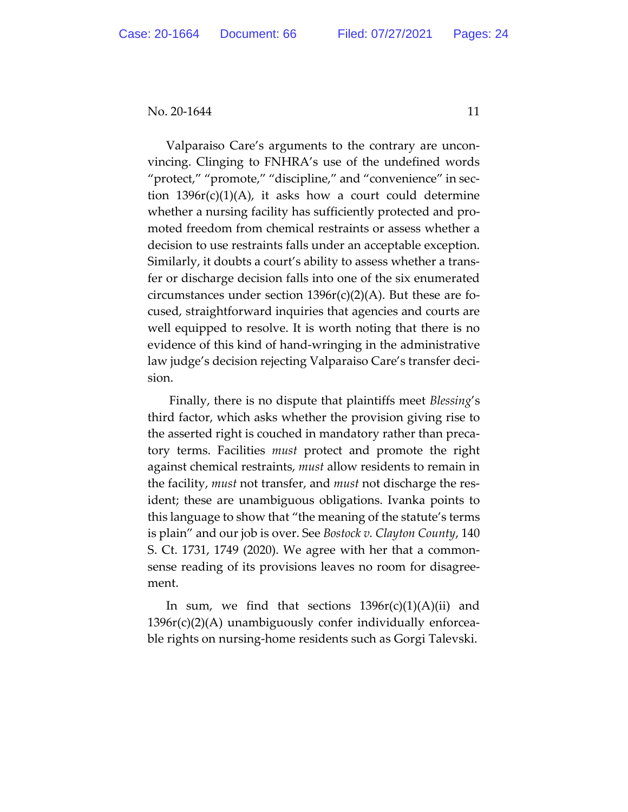Valparaiso Care's arguments to the contrary are unconvincing. Clinging to FNHRA's use of the undefined words "protect," "promote," "discipline," and "convenience" in section  $1396r(c)(1)(A)$ , it asks how a court could determine whether a nursing facility has sufficiently protected and promoted freedom from chemical restraints or assess whether a decision to use restraints falls under an acceptable exception. Similarly, it doubts a court's ability to assess whether a transfer or discharge decision falls into one of the six enumerated circumstances under section  $1396r(c)(2)(A)$ . But these are focused, straightforward inquiries that agencies and courts are well equipped to resolve. It is worth noting that there is no evidence of this kind of hand-wringing in the administrative law judge's decision rejecting Valparaiso Care's transfer decision.

Finally, there is no dispute that plaintiffs meet *Blessing*'s third factor, which asks whether the provision giving rise to the asserted right is couched in mandatory rather than precatory terms. Facilities *must* protect and promote the right against chemical restraints, *must* allow residents to remain in the facility, *must* not transfer, and *must* not discharge the resident; these are unambiguous obligations. Ivanka points to this language to show that "the meaning of the statute's terms is plain" and our job is over. See *Bostock v. Clayton County*, 140 S. Ct. 1731, 1749 (2020). We agree with her that a commonsense reading of its provisions leaves no room for disagreement.

In sum, we find that sections  $1396r(c)(1)(A)(ii)$  and 1396r(c)(2)(A) unambiguously confer individually enforceable rights on nursing-home residents such as Gorgi Talevski.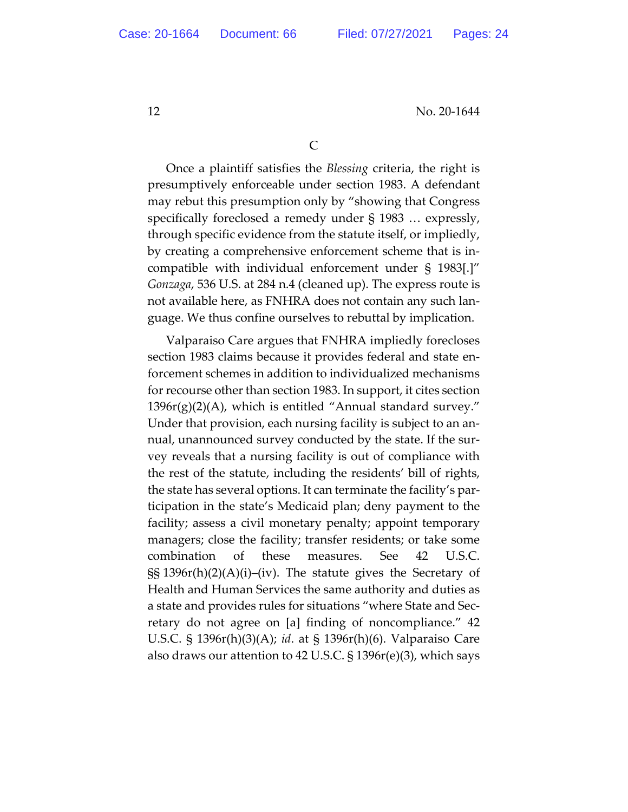Once a plaintiff satisfies the *Blessing* criteria, the right is presumptively enforceable under section 1983. A defendant may rebut this presumption only by "showing that Congress specifically foreclosed a remedy under § 1983 … expressly, through specific evidence from the statute itself, or impliedly, by creating a comprehensive enforcement scheme that is incompatible with individual enforcement under § 1983[.]" *Gonzaga*, 536 U.S. at 284 n.4 (cleaned up). The express route is not available here, as FNHRA does not contain any such language. We thus confine ourselves to rebuttal by implication.

Valparaiso Care argues that FNHRA impliedly forecloses section 1983 claims because it provides federal and state enforcement schemes in addition to individualized mechanisms for recourse other than section 1983. In support, it cites section  $1396r(g)(2)(A)$ , which is entitled "Annual standard survey." Under that provision, each nursing facility is subject to an annual, unannounced survey conducted by the state. If the survey reveals that a nursing facility is out of compliance with the rest of the statute, including the residents' bill of rights, the state has several options. It can terminate the facility's participation in the state's Medicaid plan; deny payment to the facility; assess a civil monetary penalty; appoint temporary managers; close the facility; transfer residents; or take some combination of these measures. See 42 U.S.C. §§ 1396r(h)(2)(A)(i)–(iv). The statute gives the Secretary of Health and Human Services the same authority and duties as a state and provides rules for situations "where State and Secretary do not agree on [a] finding of noncompliance." 42 U.S.C. § 1396r(h)(3)(A); *id*. at § 1396r(h)(6). Valparaiso Care also draws our attention to 42 U.S.C. § 1396r(e)(3), which says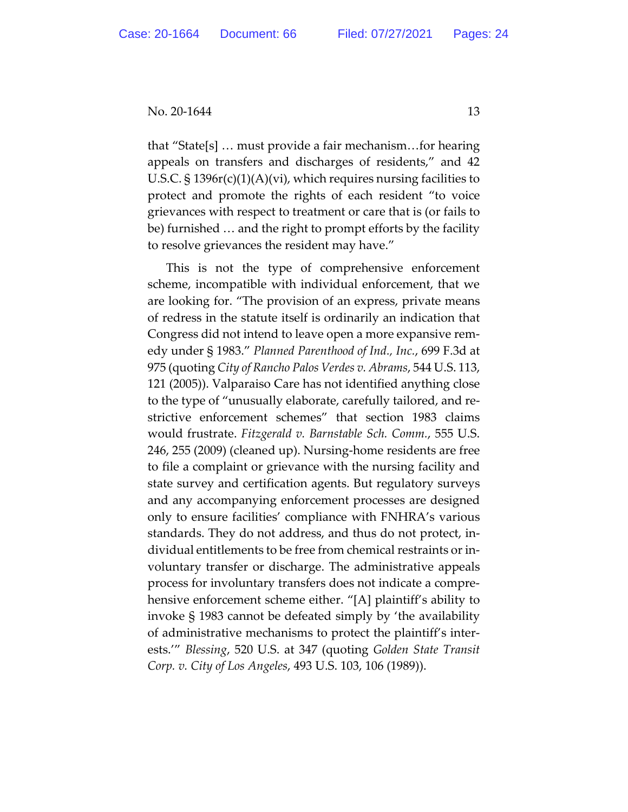that "State[s] … must provide a fair mechanism…for hearing appeals on transfers and discharges of residents," and 42 U.S.C. § 1396r(c)(1)(A)(vi), which requires nursing facilities to protect and promote the rights of each resident "to voice grievances with respect to treatment or care that is (or fails to be) furnished … and the right to prompt efforts by the facility to resolve grievances the resident may have."

This is not the type of comprehensive enforcement scheme, incompatible with individual enforcement, that we are looking for. "The provision of an express, private means of redress in the statute itself is ordinarily an indication that Congress did not intend to leave open a more expansive remedy under § 1983." *Planned Parenthood of Ind., Inc.*, 699 F.3d at 975 (quoting *City of Rancho Palos Verdes v. Abrams*, 544 U.S. 113, 121 (2005)). Valparaiso Care has not identified anything close to the type of "unusually elaborate, carefully tailored, and restrictive enforcement schemes" that section 1983 claims would frustrate. *Fitzgerald v. Barnstable Sch. Comm.*, 555 U.S. 246, 255 (2009) (cleaned up). Nursing-home residents are free to file a complaint or grievance with the nursing facility and state survey and certification agents. But regulatory surveys and any accompanying enforcement processes are designed only to ensure facilities' compliance with FNHRA's various standards. They do not address, and thus do not protect, individual entitlements to be free from chemical restraints or involuntary transfer or discharge. The administrative appeals process for involuntary transfers does not indicate a comprehensive enforcement scheme either. "[A] plaintiff's ability to invoke § 1983 cannot be defeated simply by 'the availability of administrative mechanisms to protect the plaintiff's interests.'" *Blessing*, 520 U.S. at 347 (quoting *Golden State Transit Corp. v. City of Los Angeles*, 493 U.S. 103, 106 (1989)).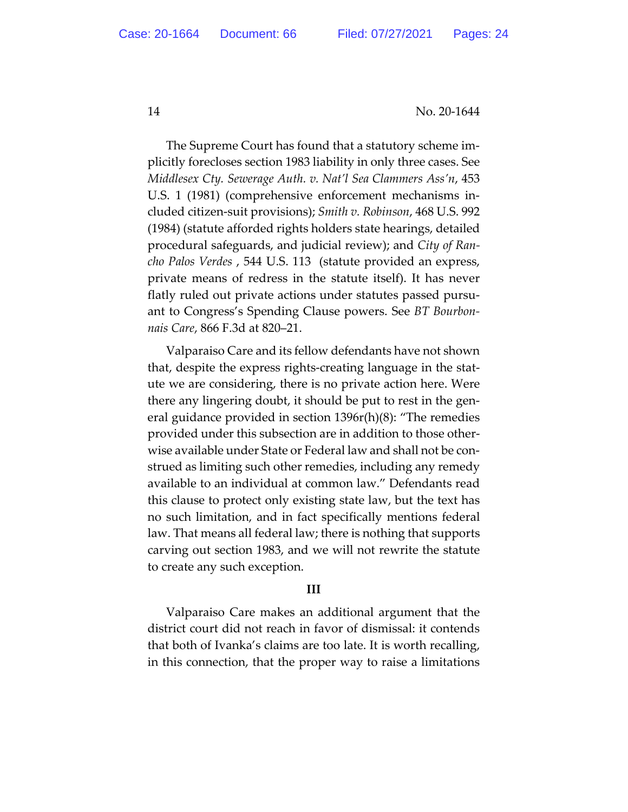The Supreme Court has found that a statutory scheme implicitly forecloses section 1983 liability in only three cases. See *Middlesex Cty. Sewerage Auth. v. Nat'l Sea Clammers Ass'n*, 453 U.S. 1 (1981) (comprehensive enforcement mechanisms included citizen-suit provisions); *Smith v. Robinson*, 468 U.S. 992 (1984) (statute afforded rights holders state hearings, detailed procedural safeguards, and judicial review); and *City of Rancho Palos Verdes* , 544 U.S. 113 (statute provided an express, private means of redress in the statute itself). It has never flatly ruled out private actions under statutes passed pursuant to Congress's Spending Clause powers. See *BT Bourbonnais Care*, 866 F.3d at 820–21.

Valparaiso Care and its fellow defendants have not shown that, despite the express rights-creating language in the statute we are considering, there is no private action here. Were there any lingering doubt, it should be put to rest in the general guidance provided in section 1396r(h)(8): "The remedies provided under this subsection are in addition to those otherwise available under State or Federal law and shall not be construed as limiting such other remedies, including any remedy available to an individual at common law." Defendants read this clause to protect only existing state law, but the text has no such limitation, and in fact specifically mentions federal law. That means all federal law; there is nothing that supports carving out section 1983, and we will not rewrite the statute to create any such exception.

#### **III**

Valparaiso Care makes an additional argument that the district court did not reach in favor of dismissal: it contends that both of Ivanka's claims are too late. It is worth recalling, in this connection, that the proper way to raise a limitations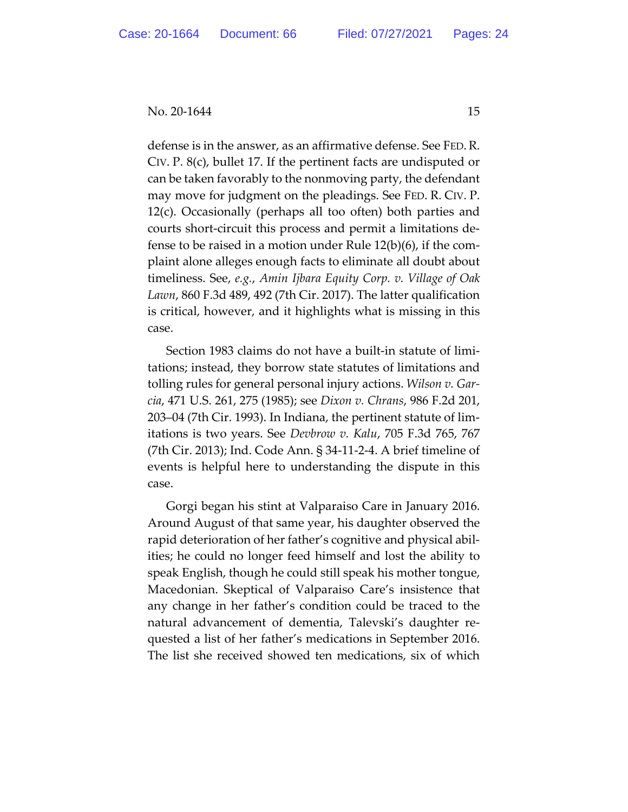defense is in the answer, as an affirmative defense. See FED. R. CIV. P. 8(c), bullet 17. If the pertinent facts are undisputed or can be taken favorably to the nonmoving party, the defendant may move for judgment on the pleadings. See FED. R. CIV. P. 12(c). Occasionally (perhaps all too often) both parties and courts short-circuit this process and permit a limitations defense to be raised in a motion under Rule 12(b)(6), if the complaint alone alleges enough facts to eliminate all doubt about timeliness. See, *e.g.*, *Amin Ijbara Equity Corp. v. Village of Oak Lawn*, 860 F.3d 489, 492 (7th Cir. 2017). The latter qualification is critical, however, and it highlights what is missing in this case.

Section 1983 claims do not have a built-in statute of limitations; instead, they borrow state statutes of limitations and tolling rules for general personal injury actions. *Wilson v. Garcia*, 471 U.S. 261, 275 (1985); see *Dixon v. Chrans*, 986 F.2d 201, 203–04 (7th Cir. 1993). In Indiana, the pertinent statute of limitations is two years. See *Devbrow v. Kalu*, 705 F.3d 765, 767 (7th Cir. 2013); Ind. Code Ann. § 34-11-2-4. A brief timeline of events is helpful here to understanding the dispute in this case.

Gorgi began his stint at Valparaiso Care in January 2016. Around August of that same year, his daughter observed the rapid deterioration of her father's cognitive and physical abilities; he could no longer feed himself and lost the ability to speak English, though he could still speak his mother tongue, Macedonian. Skeptical of Valparaiso Care's insistence that any change in her father's condition could be traced to the natural advancement of dementia, Talevski's daughter requested a list of her father's medications in September 2016. The list she received showed ten medications, six of which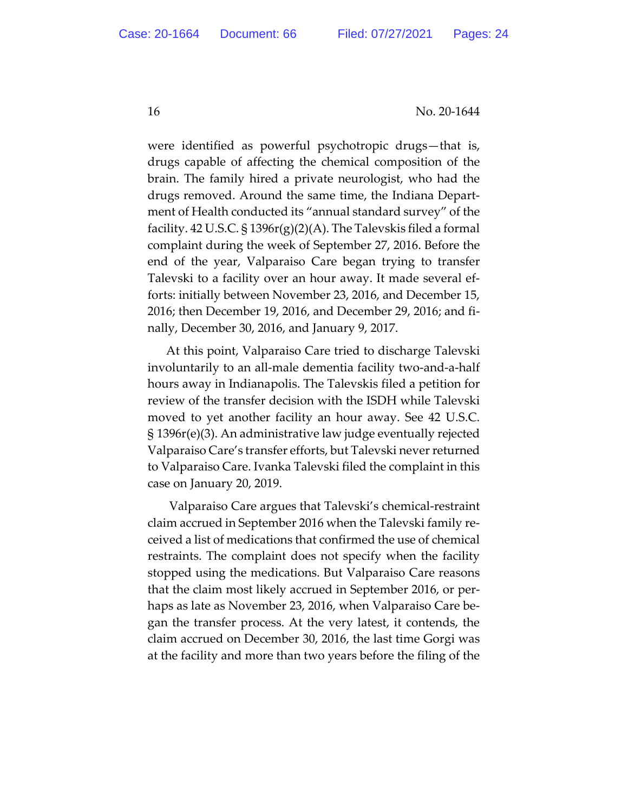were identified as powerful psychotropic drugs—that is, drugs capable of affecting the chemical composition of the brain. The family hired a private neurologist, who had the drugs removed. Around the same time, the Indiana Department of Health conducted its "annual standard survey" of the facility. 42 U.S.C. § 1396r(g)(2)(A). The Talevskis filed a formal complaint during the week of September 27, 2016. Before the end of the year, Valparaiso Care began trying to transfer Talevski to a facility over an hour away. It made several efforts: initially between November 23, 2016, and December 15, 2016; then December 19, 2016, and December 29, 2016; and finally, December 30, 2016, and January 9, 2017.

At this point, Valparaiso Care tried to discharge Talevski involuntarily to an all-male dementia facility two-and-a-half hours away in Indianapolis. The Talevskis filed a petition for review of the transfer decision with the ISDH while Talevski moved to yet another facility an hour away. See 42 U.S.C. § 1396r(e)(3). An administrative law judge eventually rejected Valparaiso Care's transfer efforts, but Talevski never returned to Valparaiso Care. Ivanka Talevski filed the complaint in this case on January 20, 2019.

Valparaiso Care argues that Talevski's chemical-restraint claim accrued in September 2016 when the Talevski family received a list of medications that confirmed the use of chemical restraints. The complaint does not specify when the facility stopped using the medications. But Valparaiso Care reasons that the claim most likely accrued in September 2016, or perhaps as late as November 23, 2016, when Valparaiso Care began the transfer process. At the very latest, it contends, the claim accrued on December 30, 2016, the last time Gorgi was at the facility and more than two years before the filing of the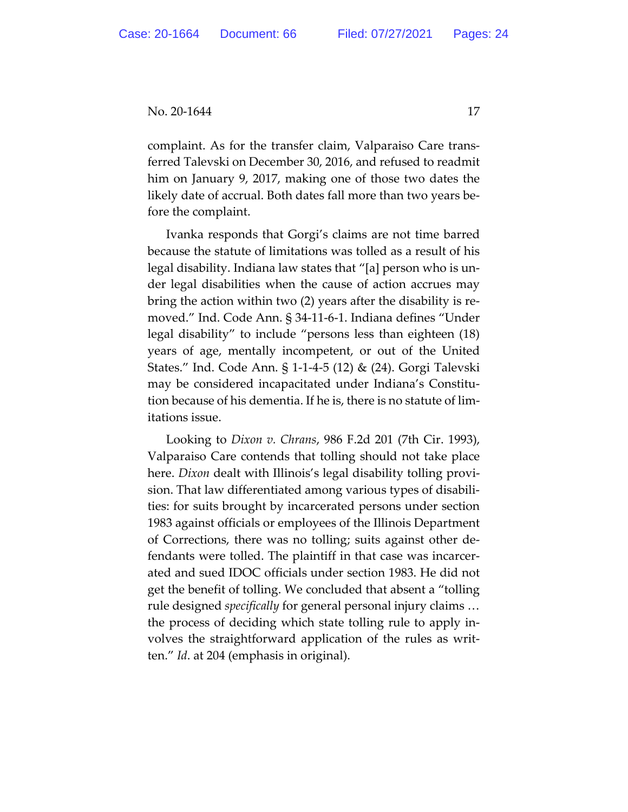complaint. As for the transfer claim, Valparaiso Care transferred Talevski on December 30, 2016, and refused to readmit him on January 9, 2017, making one of those two dates the likely date of accrual. Both dates fall more than two years before the complaint.

Ivanka responds that Gorgi's claims are not time barred because the statute of limitations was tolled as a result of his legal disability. Indiana law states that "[a] person who is under legal disabilities when the cause of action accrues may bring the action within two (2) years after the disability is removed." Ind. Code Ann. § 34-11-6-1. Indiana defines "Under legal disability" to include "persons less than eighteen (18) years of age, mentally incompetent, or out of the United States." Ind. Code Ann. § 1-1-4-5 (12) & (24). Gorgi Talevski may be considered incapacitated under Indiana's Constitution because of his dementia. If he is, there is no statute of limitations issue.

Looking to *Dixon v. Chrans*, 986 F.2d 201 (7th Cir. 1993), Valparaiso Care contends that tolling should not take place here. *Dixon* dealt with Illinois's legal disability tolling provision. That law differentiated among various types of disabilities: for suits brought by incarcerated persons under section 1983 against officials or employees of the Illinois Department of Corrections, there was no tolling; suits against other defendants were tolled. The plaintiff in that case was incarcerated and sued IDOC officials under section 1983. He did not get the benefit of tolling. We concluded that absent a "tolling rule designed *specifically* for general personal injury claims … the process of deciding which state tolling rule to apply involves the straightforward application of the rules as written." *Id*. at 204 (emphasis in original).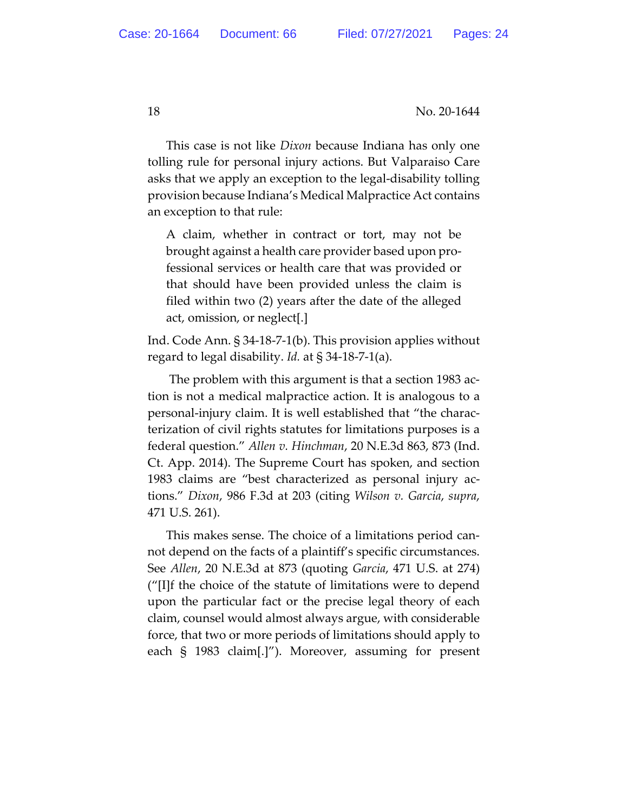This case is not like *Dixon* because Indiana has only one tolling rule for personal injury actions. But Valparaiso Care asks that we apply an exception to the legal-disability tolling provision because Indiana's Medical Malpractice Act contains an exception to that rule:

A claim, whether in contract or tort, may not be brought against a health care provider based upon professional services or health care that was provided or that should have been provided unless the claim is filed within two (2) years after the date of the alleged act, omission, or neglect[.]

Ind. Code Ann. § 34-18-7-1(b). This provision applies without regard to legal disability. *Id.* at § 34-18-7-1(a).

The problem with this argument is that a section 1983 action is not a medical malpractice action. It is analogous to a personal-injury claim. It is well established that "the characterization of civil rights statutes for limitations purposes is a federal question." *Allen v. Hinchman*, 20 N.E.3d 863, 873 (Ind. Ct. App. 2014). The Supreme Court has spoken, and section 1983 claims are "best characterized as personal injury actions." *Dixon*, 986 F.3d at 203 (citing *Wilson v. Garcia*, *supra*, 471 U.S. 261).

This makes sense. The choice of a limitations period cannot depend on the facts of a plaintiff's specific circumstances. See *Allen*, 20 N.E.3d at 873 (quoting *Garcia*, 471 U.S. at 274) ("[I]f the choice of the statute of limitations were to depend upon the particular fact or the precise legal theory of each claim, counsel would almost always argue, with considerable force, that two or more periods of limitations should apply to each § 1983 claim[.]"). Moreover, assuming for present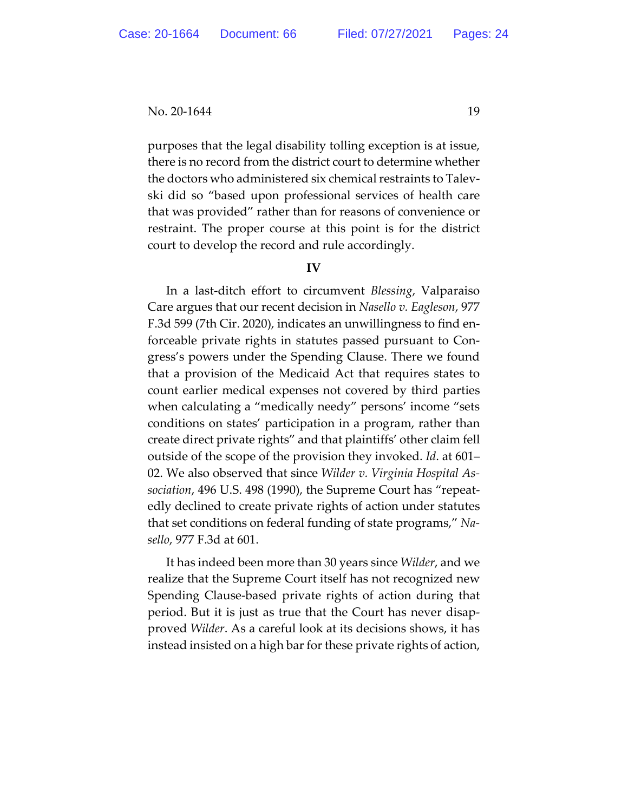purposes that the legal disability tolling exception is at issue, there is no record from the district court to determine whether the doctors who administered six chemical restraints to Talevski did so "based upon professional services of health care that was provided" rather than for reasons of convenience or restraint. The proper course at this point is for the district court to develop the record and rule accordingly.

#### **IV**

In a last-ditch effort to circumvent *Blessing*, Valparaiso Care argues that our recent decision in *Nasello v. Eagleson*, 977 F.3d 599 (7th Cir. 2020), indicates an unwillingness to find enforceable private rights in statutes passed pursuant to Congress's powers under the Spending Clause. There we found that a provision of the Medicaid Act that requires states to count earlier medical expenses not covered by third parties when calculating a "medically needy" persons' income "sets conditions on states' participation in a program, rather than create direct private rights" and that plaintiffs' other claim fell outside of the scope of the provision they invoked. *Id*. at 601– 02. We also observed that since *Wilder v. Virginia Hospital Association*, 496 U.S. 498 (1990), the Supreme Court has "repeatedly declined to create private rights of action under statutes that set conditions on federal funding of state programs," *Nasello*, 977 F.3d at 601.

It has indeed been more than 30 years since *Wilder*, and we realize that the Supreme Court itself has not recognized new Spending Clause-based private rights of action during that period. But it is just as true that the Court has never disapproved *Wilder*. As a careful look at its decisions shows, it has instead insisted on a high bar for these private rights of action,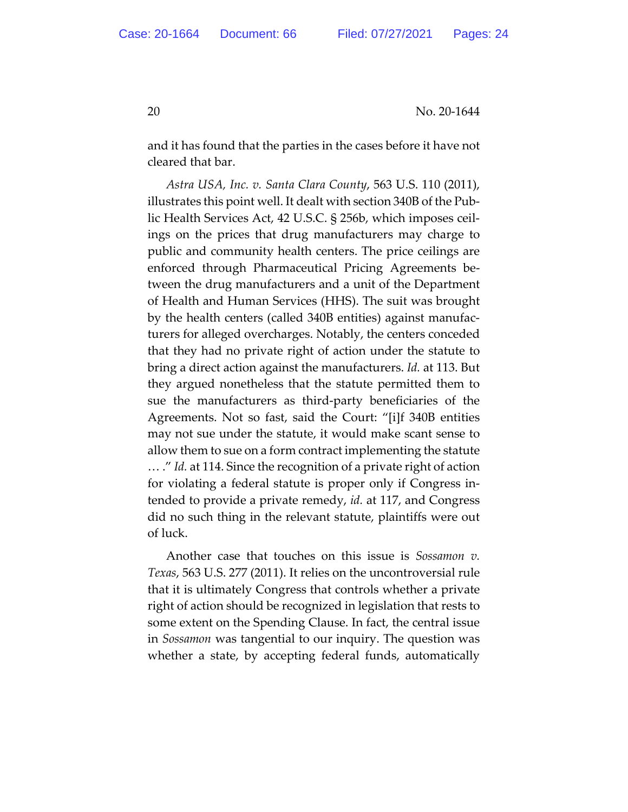and it has found that the parties in the cases before it have not cleared that bar.

*Astra USA, Inc. v. Santa Clara County*, 563 U.S. 110 (2011), illustrates this point well. It dealt with section 340B of the Public Health Services Act, 42 U.S.C. § 256b, which imposes ceilings on the prices that drug manufacturers may charge to public and community health centers. The price ceilings are enforced through Pharmaceutical Pricing Agreements between the drug manufacturers and a unit of the Department of Health and Human Services (HHS). The suit was brought by the health centers (called 340B entities) against manufacturers for alleged overcharges. Notably, the centers conceded that they had no private right of action under the statute to bring a direct action against the manufacturers. *Id.* at 113. But they argued nonetheless that the statute permitted them to sue the manufacturers as third-party beneficiaries of the Agreements. Not so fast, said the Court: "[i]f 340B entities may not sue under the statute, it would make scant sense to allow them to sue on a form contract implementing the statute … ." *Id.* at 114. Since the recognition of a private right of action for violating a federal statute is proper only if Congress intended to provide a private remedy, *id.* at 117, and Congress did no such thing in the relevant statute, plaintiffs were out of luck.

Another case that touches on this issue is *Sossamon v. Texas*, 563 U.S. 277 (2011). It relies on the uncontroversial rule that it is ultimately Congress that controls whether a private right of action should be recognized in legislation that rests to some extent on the Spending Clause. In fact, the central issue in *Sossamon* was tangential to our inquiry. The question was whether a state, by accepting federal funds, automatically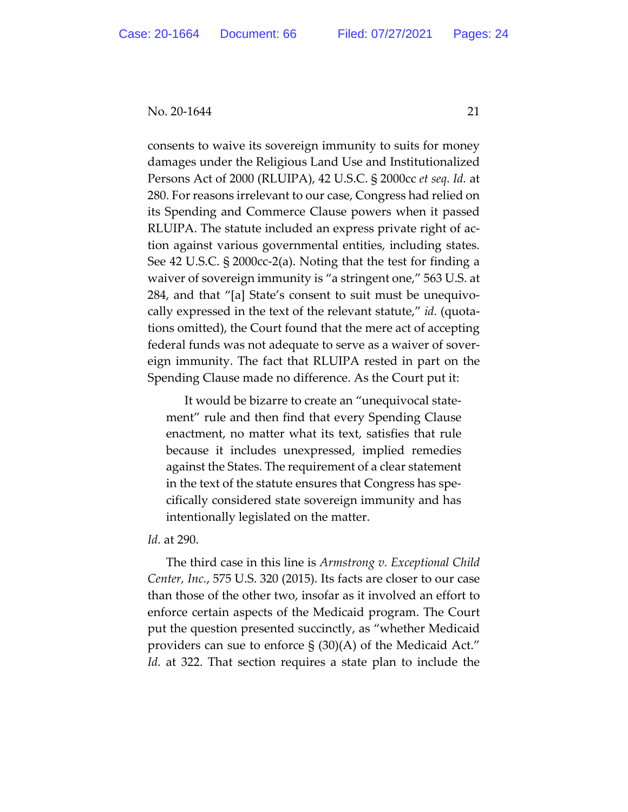consents to waive its sovereign immunity to suits for money damages under the Religious Land Use and Institutionalized Persons Act of 2000 (RLUIPA), 42 U.S.C. § 2000cc *et seq*. *Id.* at 280. For reasons irrelevant to our case, Congress had relied on its Spending and Commerce Clause powers when it passed RLUIPA. The statute included an express private right of action against various governmental entities, including states. See 42 U.S.C. § 2000cc-2(a). Noting that the test for finding a waiver of sovereign immunity is "a stringent one," 563 U.S. at 284, and that "[a] State's consent to suit must be unequivocally expressed in the text of the relevant statute," *id.* (quotations omitted), the Court found that the mere act of accepting federal funds was not adequate to serve as a waiver of sovereign immunity. The fact that RLUIPA rested in part on the Spending Clause made no difference. As the Court put it:

It would be bizarre to create an "unequivocal statement" rule and then find that every Spending Clause enactment, no matter what its text, satisfies that rule because it includes unexpressed, implied remedies against the States. The requirement of a clear statement in the text of the statute ensures that Congress has specifically considered state sovereign immunity and has intentionally legislated on the matter.

#### *Id.* at 290.

The third case in this line is *Armstrong v. Exceptional Child Center, Inc.*, 575 U.S. 320 (2015). Its facts are closer to our case than those of the other two, insofar as it involved an effort to enforce certain aspects of the Medicaid program. The Court put the question presented succinctly, as "whether Medicaid providers can sue to enforce § (30)(A) of the Medicaid Act." *Id.* at 322. That section requires a state plan to include the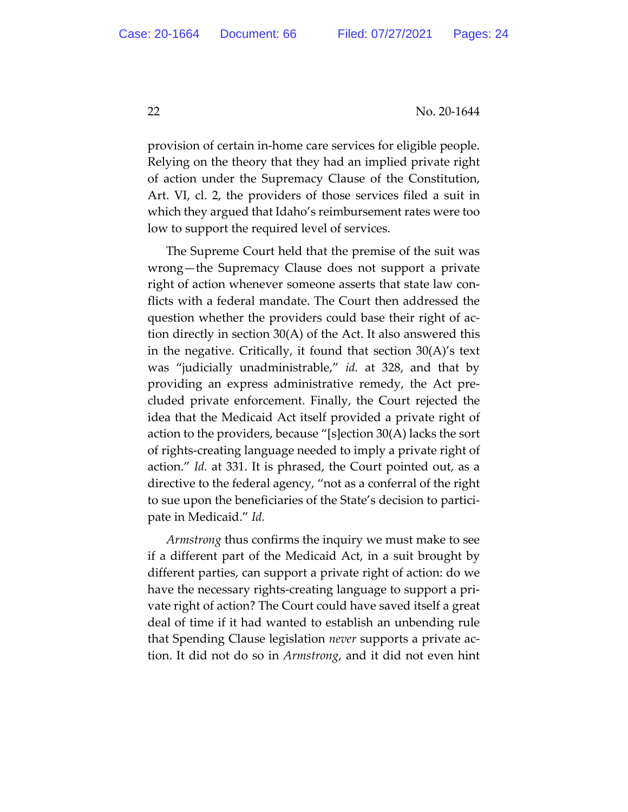provision of certain in-home care services for eligible people. Relying on the theory that they had an implied private right of action under the Supremacy Clause of the Constitution, Art. VI, cl. 2, the providers of those services filed a suit in which they argued that Idaho's reimbursement rates were too low to support the required level of services.

The Supreme Court held that the premise of the suit was wrong—the Supremacy Clause does not support a private right of action whenever someone asserts that state law conflicts with a federal mandate. The Court then addressed the question whether the providers could base their right of action directly in section 30(A) of the Act. It also answered this in the negative. Critically, it found that section 30(A)'s text was "judicially unadministrable," *id.* at 328, and that by providing an express administrative remedy, the Act precluded private enforcement. Finally, the Court rejected the idea that the Medicaid Act itself provided a private right of action to the providers, because "[s]ection 30(A) lacks the sort of rights-creating language needed to imply a private right of action." *Id.* at 331. It is phrased, the Court pointed out, as a directive to the federal agency, "not as a conferral of the right to sue upon the beneficiaries of the State's decision to participate in Medicaid." *Id.* 

*Armstrong* thus confirms the inquiry we must make to see if a different part of the Medicaid Act, in a suit brought by different parties, can support a private right of action: do we have the necessary rights-creating language to support a private right of action? The Court could have saved itself a great deal of time if it had wanted to establish an unbending rule that Spending Clause legislation *never* supports a private action. It did not do so in *Armstrong*, and it did not even hint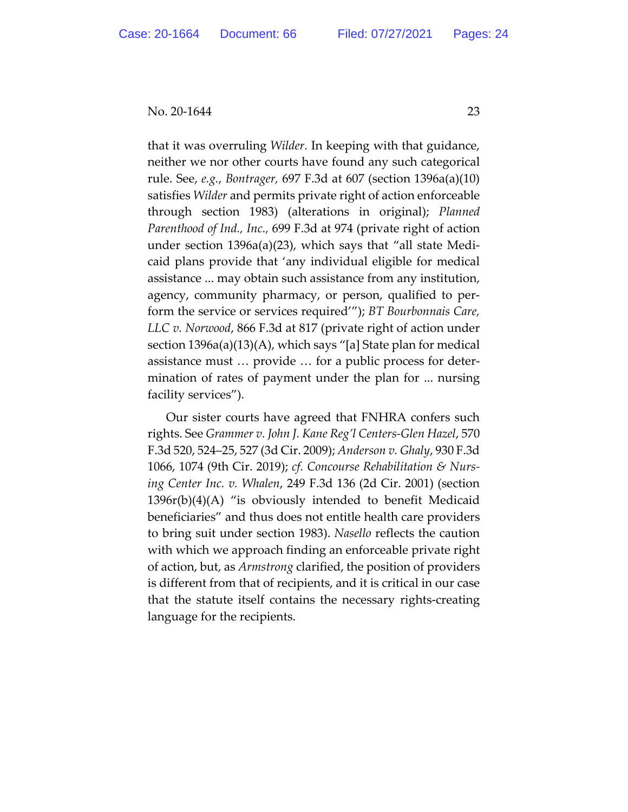that it was overruling *Wilder.* In keeping with that guidance, neither we nor other courts have found any such categorical rule. See, *e.g.*, *Bontrager,* 697 F.3d at 607 (section 1396a(a)(10) satisfies *Wilder* and permits private right of action enforceable through section 1983) (alterations in original); *Planned Parenthood of Ind., Inc.,* 699 F.3d at 974 (private right of action under section 1396a(a)(23), which says that "all state Medicaid plans provide that 'any individual eligible for medical assistance ... may obtain such assistance from any institution, agency, community pharmacy, or person, qualified to perform the service or services required'"); *BT Bourbonnais Care, LLC v. Norwood*, 866 F.3d at 817 (private right of action under section 1396a(a)(13)(A), which says "[a] State plan for medical assistance must … provide … for a public process for determination of rates of payment under the plan for ... nursing facility services").

Our sister courts have agreed that FNHRA confers such rights. See *Grammer v. John J. Kane Reg'l Centers-Glen Hazel*, 570 F.3d 520, 524–25, 527 (3d Cir. 2009); *Anderson v. Ghaly*, 930 F.3d 1066, 1074 (9th Cir. 2019); *cf. Concourse Rehabilitation & Nursing Center Inc. v. Whalen*, 249 F.3d 136 (2d Cir. 2001) (section  $1396r(b)(4)(A)$  "is obviously intended to benefit Medicaid beneficiaries" and thus does not entitle health care providers to bring suit under section 1983). *Nasello* reflects the caution with which we approach finding an enforceable private right of action, but, as *Armstrong* clarified, the position of providers is different from that of recipients, and it is critical in our case that the statute itself contains the necessary rights-creating language for the recipients.